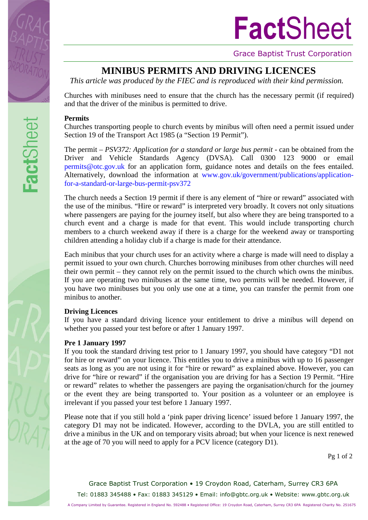

**Fact**Sheet



Grace Baptist Trust Corporation

# **MINIBUS PERMITS AND DRIVING LICENCES**

*This article was produced by the FIEC and is reproduced with their kind permission.*

Churches with minibuses need to ensure that the church has the necessary permit (if required) and that the driver of the minibus is permitted to drive.

## **Permits**

Churches transporting people to church events by minibus will often need a permit issued under Section 19 of the Transport Act 1985 (a "Section 19 Permit").

The permit – *PSV372: Application for a standard or large bus permit* - can be obtained from the Driver and Vehicle Standards Agency (DVSA). Call 0300 123 9000 or email [permits@otc.gov.uk](mailto:permits@otc.gov.uk) for an application form, guidance notes and details on the fees entailed. Alternatively, download the information at [www.gov.uk/government/publications/application](http://www.gov.uk/government/publications/application-for-a-standard-or-large-bus-permit-psv372)[for-a-standard-or-large-bus-permit-psv372](http://www.gov.uk/government/publications/application-for-a-standard-or-large-bus-permit-psv372)

The church needs a Section 19 permit if there is any element of "hire or reward" associated with the use of the minibus. "Hire or reward" is interpreted very broadly. It covers not only situations where passengers are paying for the journey itself, but also where they are being transported to a church event and a charge is made for that event. This would include transporting church members to a church weekend away if there is a charge for the weekend away or transporting children attending a holiday club if a charge is made for their attendance.

Each minibus that your church uses for an activity where a charge is made will need to display a permit issued to your own church. Churches borrowing minibuses from other churches will need their own permit – they cannot rely on the permit issued to the church which owns the minibus. If you are operating two minibuses at the same time, two permits will be needed. However, if you have two minibuses but you only use one at a time, you can transfer the permit from one minibus to another.

## **Driving Licences**

If you have a standard driving licence your entitlement to drive a minibus will depend on whether you passed your test before or after 1 January 1997.

### **Pre 1 January 1997**

If you took the standard driving test prior to 1 January 1997, you should have category "D1 not for hire or reward" on your licence. This entitles you to drive a minibus with up to 16 passenger seats as long as you are not using it for "hire or reward" as explained above. However, you can drive for "hire or reward" if the organisation you are driving for has a Section 19 Permit. "Hire or reward" relates to whether the passengers are paying the organisation/church for the journey or the event they are being transported to. Your position as a volunteer or an employee is irrelevant if you passed your test before 1 January 1997.

Please note that if you still hold a 'pink paper driving licence' issued before 1 January 1997, the category D1 may not be indicated. However, according to the DVLA, you are still entitled to drive a minibus in the UK and on temporary visits abroad; but when your licence is next renewed at the age of 70 you will need to apply for a PCV licence (category D1).

Pg 1 of 2

Grace Baptist Trust Corporation • 19 Croydon Road, Caterham, Surrey CR3 6PA Tel: 01883 345488 • Fax: 01883 345129 • Email: [info@gbtc.org.uk](mailto:info@gbtc.org.uk) • Website: www.gbtc.org.uk